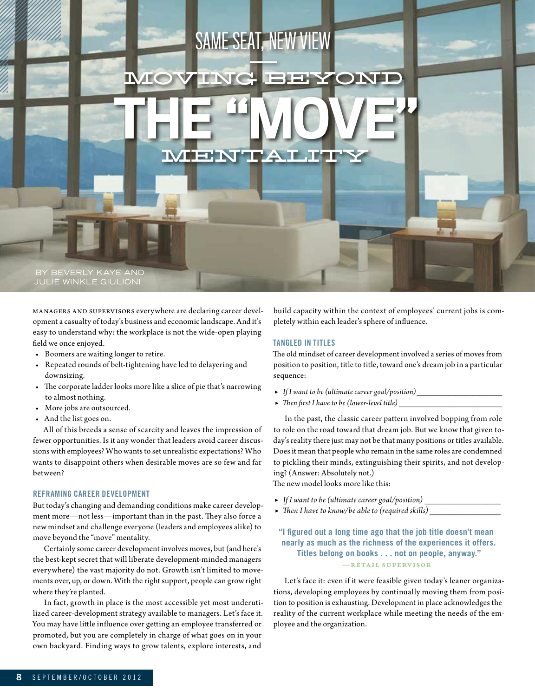

Managers and supervisors everywhere are declaring career development a casualty of today's business and economic landscape. And it's easy to understand why: the workplace is not the wide-open playing field we once enjoyed.

- • Boomers are waiting longer to retire.
- • Repeated rounds of belt-tightening have led to delayering and downsizing.
- • The corporate ladder looks more like a slice of pie that's narrowing to almost nothing.
- • More jobs are outsourced.
- • And the list goes on.

All of this breeds a sense of scarcity and leaves the impression of fewer opportunities. Is it any wonder that leaders avoid career discussions with employees? Who wants to set unrealistic expectations? Who wants to disappoint others when desirable moves are so few and far between?

# **REFRAMING CAREER DEVELOPMENT**

But today's changing and demanding conditions make career development more—not less—important than in the past. They also force a new mindset and challenge everyone (leaders and employees alike) to move beyond the "move" mentality.

Certainly some career development involves moves, but (and here's the best-kept secret that will liberate development-minded managers everywhere) the vast majority do not. Growth isn't limited to movements over, up, or down. With the right support, people can grow right where they're planted.

In fact, growth in place is the most accessible yet most underutilized career-development strategy available to managers. Let's face it. You may have little influence over getting an employee transferred or promoted, but you are completely in charge of what goes on in your own backyard. Finding ways to grow talents, explore interests, and

build capacity within the context of employees' current jobs is completely within each leader's sphere of influence.

### Tangled in Titles

The old mindset of career development involved a series of moves from position to position, title to title, toward one's dream job in a particular sequence:

- ▶ *If I want to be (ultimate career goal/position)\_\_\_\_\_\_\_\_\_\_\_\_\_\_\_\_\_\_\_*
- ▶ *Then first I have to be (lower-level title) \_\_\_\_\_\_\_\_\_\_\_\_\_\_\_\_\_\_\_\_\_\_\_*

In the past, the classic career pattern involved bopping from role to role on the road toward that dream job. But we know that given today's reality there just may not be that many positions or titles available. Does it mean that people who remain in the same roles are condemned to pickling their minds, extinguishing their spirits, and not developing? (Answer: Absolutely not.)

The new model looks more like this:

- ▶ *If I want to be (ultimate career goal/position) \_\_\_\_\_\_\_\_\_\_\_\_\_\_\_\_*
- ▶ *Then I have to know/be able to (required skills) \_\_\_\_\_\_\_\_\_\_\_\_\_\_\_*

# **"I figured out a long time ago that the job title doesn't mean nearly as much as the richness of the experiences it offers. Titles belong on books . . . not on people, anyway."**  —Retail supervisor

Let's face it: even if it were feasible given today's leaner organizations, developing employees by continually moving them from position to position is exhausting. Development in place acknowledges the reality of the current workplace while meeting the needs of the employee and the organization.